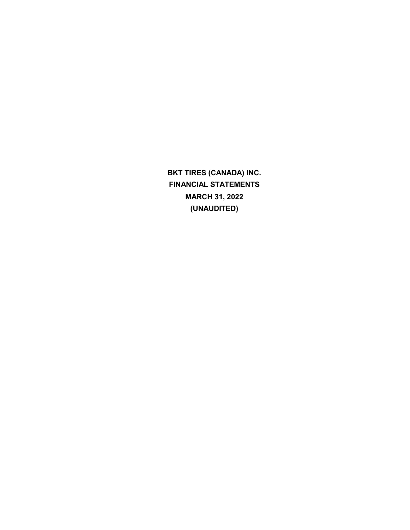**BKT TIRES (CANADA) INC. FINANCIAL STATEMENTS MARCH 31, 2022 (UNAUDITED)**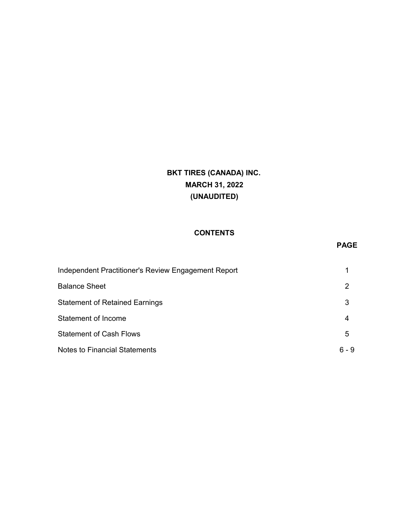# **BKT TIRES (CANADA) INC. MARCH 31, 2022 (UNAUDITED)**

## **CONTENTS**

## **PAGE**

| Independent Practitioner's Review Engagement Report |       |
|-----------------------------------------------------|-------|
| <b>Balance Sheet</b>                                | 2     |
| <b>Statement of Retained Earnings</b>               | 3     |
| Statement of Income                                 | 4     |
| <b>Statement of Cash Flows</b>                      | 5     |
| Notes to Financial Statements                       | ճ - 9 |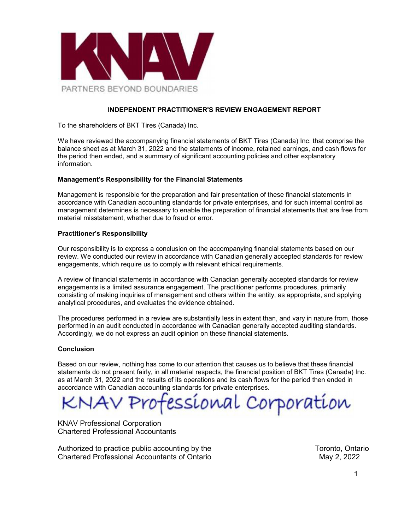

#### **INDEPENDENT PRACTITIONER'S REVIEW ENGAGEMENT REPORT**

To the shareholders of BKT Tires (Canada) Inc.

We have reviewed the accompanying financial statements of BKT Tires (Canada) Inc. that comprise the balance sheet as at March 31, 2022 and the statements of income, retained earnings, and cash flows for the period then ended, and a summary of significant accounting policies and other explanatory information.

#### **Management's Responsibility for the Financial Statements**

Management is responsible for the preparation and fair presentation of these financial statements in accordance with Canadian accounting standards for private enterprises, and for such internal control as management determines is necessary to enable the preparation of financial statements that are free from material misstatement, whether due to fraud or error.

#### **Practitioner's Responsibility**

Our responsibility is to express a conclusion on the accompanying financial statements based on our review. We conducted our review in accordance with Canadian generally accepted standards for review engagements, which require us to comply with relevant ethical requirements.

A review of financial statements in accordance with Canadian generally accepted standards for review engagements is a limited assurance engagement. The practitioner performs procedures, primarily consisting of making inquiries of management and others within the entity, as appropriate, and applying analytical procedures, and evaluates the evidence obtained.

The procedures performed in a review are substantially less in extent than, and vary in nature from, those performed in an audit conducted in accordance with Canadian generally accepted auditing standards. Accordingly, we do not express an audit opinion on these financial statements.

#### **Conclusion**

Based on our review, nothing has come to our attention that causes us to believe that these financial statements do not present fairly, in all material respects, the financial position of BKT Tires (Canada) Inc. as at March 31, 2022 and the results of its operations and its cash flows for the period then ended in accordance with Canadian accounting standards for private enterprises.

IAV Professional Corporation

KNAV Professional Corporation Chartered Professional Accountants

Authorized to practice public accounting by the Toronto, Ontario Chartered Professional Accountants of Ontario May 2, 2022 May 2, 2022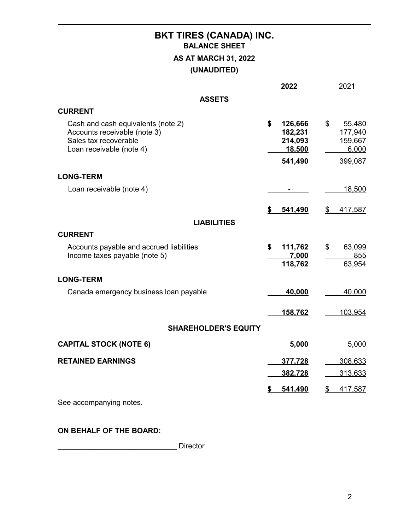# **BKT TIRES (CANADA) INC. BALANCE SHEET AS AT MARCH 31, 2022 (UNAUDITED)**

|                                                                                                                         | 2022                                                     |                | 2021                                             |
|-------------------------------------------------------------------------------------------------------------------------|----------------------------------------------------------|----------------|--------------------------------------------------|
| <b>ASSETS</b>                                                                                                           |                                                          |                |                                                  |
| <b>CURRENT</b>                                                                                                          |                                                          |                |                                                  |
| Cash and cash equivalents (note 2)<br>Accounts receivable (note 3)<br>Sales tax recoverable<br>Loan receivable (note 4) | \$<br>126,666<br>182,231<br>214,093<br>18,500<br>541,490 | $\mathfrak{F}$ | 55,480<br>177,940<br>159,667<br>6,000<br>399,087 |
| <b>LONG-TERM</b>                                                                                                        |                                                          |                |                                                  |
| Loan receivable (note 4)                                                                                                |                                                          |                | 18,500                                           |
|                                                                                                                         | \$<br>541,490                                            | \$             | 417,587                                          |
| <b>LIABILITIES</b>                                                                                                      |                                                          |                |                                                  |
| <b>CURRENT</b>                                                                                                          |                                                          |                |                                                  |
| Accounts payable and accrued liabilities<br>Income taxes payable (note 5)                                               | \$<br>111,762<br>7,000<br>118,762                        | \$             | 63,099<br>855<br>63,954                          |
| <b>LONG-TERM</b>                                                                                                        |                                                          |                |                                                  |
| Canada emergency business loan payable                                                                                  | 40,000                                                   |                | 40,000                                           |
|                                                                                                                         | 158,762                                                  |                | 103,954                                          |
| <b>SHAREHOLDER'S EQUITY</b>                                                                                             |                                                          |                |                                                  |
| <b>CAPITAL STOCK (NOTE 6)</b>                                                                                           | 5,000                                                    |                | 5,000                                            |
| <b>RETAINED EARNINGS</b>                                                                                                | 377,728                                                  |                | 308,633                                          |
|                                                                                                                         | 382,728                                                  |                | 313,633                                          |
|                                                                                                                         | 541,490                                                  | \$             | 417,587                                          |
| See accompanying notes.                                                                                                 |                                                          |                |                                                  |

## **ON BEHALF OF THE BOARD:**

\_\_\_\_\_\_\_\_\_\_\_\_\_\_\_\_\_\_\_\_\_\_\_\_\_\_\_\_\_ Director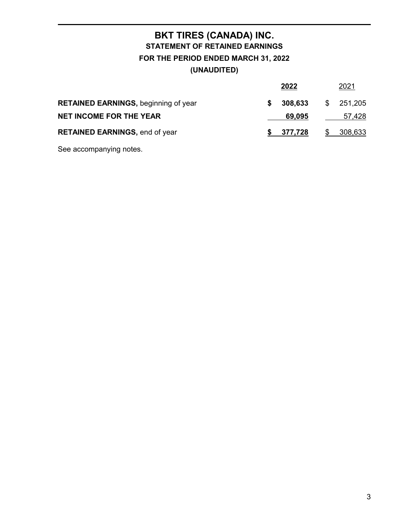# **BKT TIRES (CANADA) INC. STATEMENT OF RETAINED EARNINGS FOR THE PERIOD ENDED MARCH 31, 2022 (UNAUDITED)**

|                                             |   | 2022      | 2021          |
|---------------------------------------------|---|-----------|---------------|
| <b>RETAINED EARNINGS, beginning of year</b> | S | 308,633   | \$<br>251,205 |
| <b>NET INCOME FOR THE YEAR</b>              |   | 69.095    | 57,428        |
| <b>RETAINED EARNINGS, end of year</b>       |   | \$377,728 | \$308,633     |

See accompanying notes.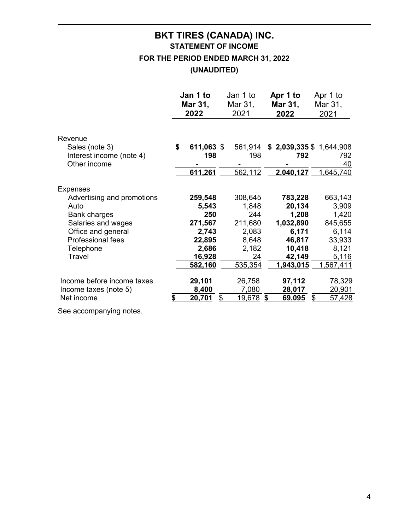# **BKT TIRES (CANADA) INC. STATEMENT OF INCOME**

**FOR THE PERIOD ENDED MARCH 31, 2022**

**(UNAUDITED)**

|                            | Jan 1 to         | Jan 1 to               | Apr 1 to                | Apr 1 to            |
|----------------------------|------------------|------------------------|-------------------------|---------------------|
|                            | Mar 31,          | Mar 31,                | Mar 31,                 | Mar 31,             |
|                            | 2022             | 2021                   | 2022                    | 2021                |
| Revenue                    |                  |                        |                         |                     |
| Sales (note 3)             | \$<br>611,063 \$ | 561,914                | \$2,039,335 \$1,644,908 |                     |
| Interest income (note 4)   | 198              | 198                    | 792                     | 792                 |
| Other income               |                  |                        |                         | <u>40</u>           |
|                            | 611,261          | 562,112                | 2,040,127               | 1,645,740           |
| <b>Expenses</b>            |                  |                        |                         |                     |
| Advertising and promotions | 259,548          | 308,645                | 783,228                 | 663,143             |
| Auto                       | 5,543            | 1,848                  | 20,134                  | 3,909               |
| <b>Bank charges</b>        | 250              | 244                    | 1,208                   | 1,420               |
| Salaries and wages         | 271,567          | 211,680                | 1,032,890               | 845,655             |
| Office and general         | 2,743            | 2,083                  | 6,171                   | 6,114               |
| Professional fees          | 22,895           | 8,648                  | 46,817                  | 33,933              |
| Telephone                  | 2,686            | 2,182                  | 10,418                  | 8,121               |
| Travel                     | <u>16,928</u>    | <u>24</u>              | 42,149                  | 5,116               |
|                            | 582,160          | 535,354                | 1,943,015               | <u>1,567,411</u>    |
| Income before income taxes | 29,101           | 26,758                 | 97,112                  | 78,329              |
| Income taxes (note 5)      | 8,400            | 7,080                  | 28,017                  | 20,901              |
| Net income                 | 20,701           | <u>19,678 \$</u><br>\$ | 69,095                  | \$<br><u>57,428</u> |

See accompanying notes.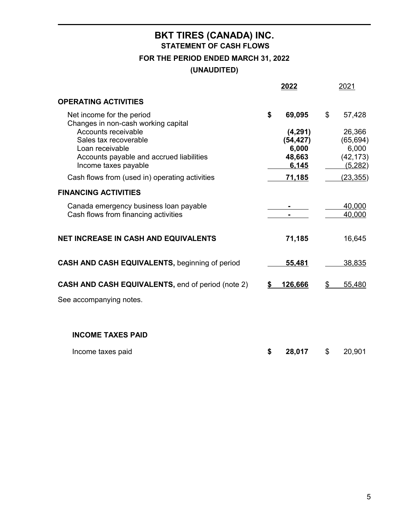# **BKT TIRES (CANADA) INC. STATEMENT OF CASH FLOWS FOR THE PERIOD ENDED MARCH 31, 2022 (UNAUDITED)**

|                                                                                                                                                                                                                                                                  | 2022                                                                               |                | 2021                                                                        |
|------------------------------------------------------------------------------------------------------------------------------------------------------------------------------------------------------------------------------------------------------------------|------------------------------------------------------------------------------------|----------------|-----------------------------------------------------------------------------|
| <b>OPERATING ACTIVITIES</b>                                                                                                                                                                                                                                      |                                                                                    |                |                                                                             |
| Net income for the period<br>Changes in non-cash working capital<br><b>Accounts receivable</b><br>Sales tax recoverable<br>Loan receivable<br>Accounts payable and accrued liabilities<br>Income taxes payable<br>Cash flows from (used in) operating activities | \$<br>69,095<br>(4, 291)<br>(54, 427)<br>6,000<br>48,663<br>6,145<br><u>71,185</u> | $\mathbb{S}^-$ | 57,428<br>26,366<br>(65, 694)<br>6,000<br>(42, 173)<br>(5,282)<br>(23, 355) |
| <b>FINANCING ACTIVITIES</b>                                                                                                                                                                                                                                      |                                                                                    |                |                                                                             |
| Canada emergency business loan payable<br>Cash flows from financing activities                                                                                                                                                                                   |                                                                                    |                | 40,000<br>40,000                                                            |
| <b>NET INCREASE IN CASH AND EQUIVALENTS</b>                                                                                                                                                                                                                      | 71,185                                                                             |                | 16,645                                                                      |
| CASH AND CASH EQUIVALENTS, beginning of period                                                                                                                                                                                                                   | 55,481                                                                             |                | 38,835                                                                      |
| <b>CASH AND CASH EQUIVALENTS, end of period (note 2)</b>                                                                                                                                                                                                         | \$<br>126,666                                                                      | S              | 55,480                                                                      |
| See accompanying notes.                                                                                                                                                                                                                                          |                                                                                    |                |                                                                             |
| <b>INCOME TAXES PAID</b>                                                                                                                                                                                                                                         |                                                                                    |                |                                                                             |

| Income taxes paid |  | 28,017 |  | \$ 20,901 |
|-------------------|--|--------|--|-----------|
|-------------------|--|--------|--|-----------|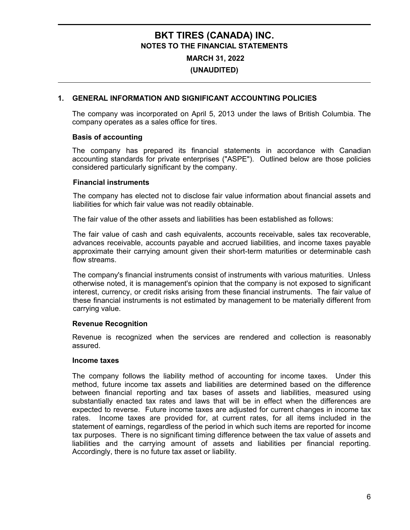## **BKT TIRES (CANADA) INC. NOTES TO THE FINANCIAL STATEMENTS**

**MARCH 31, 2022 (UNAUDITED)**

## **1. GENERAL INFORMATION AND SIGNIFICANT ACCOUNTING POLICIES**

The company was incorporated on April 5, 2013 under the laws of British Columbia. The company operates as a sales office for tires.

### **Basis of accounting**

The company has prepared its financial statements in accordance with Canadian accounting standards for private enterprises ("ASPE"). Outlined below are those policies considered particularly significant by the company.

### **Financial instruments**

The company has elected not to disclose fair value information about financial assets and liabilities for which fair value was not readily obtainable.

The fair value of the other assets and liabilities has been established as follows:

The fair value of cash and cash equivalents, accounts receivable, sales tax recoverable, advances receivable, accounts payable and accrued liabilities, and income taxes payable approximate their carrying amount given their short-term maturities or determinable cash flow streams.

The company's financial instruments consist of instruments with various maturities. Unless otherwise noted, it is management's opinion that the company is not exposed to significant interest, currency, or credit risks arising from these financial instruments. The fair value of these financial instruments is not estimated by management to be materially different from carrying value.

#### **Revenue Recognition**

Revenue is recognized when the services are rendered and collection is reasonably assured.

#### **Income taxes**

The company follows the liability method of accounting for income taxes. Under this method, future income tax assets and liabilities are determined based on the difference between financial reporting and tax bases of assets and liabilities, measured using substantially enacted tax rates and laws that will be in effect when the differences are expected to reverse. Future income taxes are adjusted for current changes in income tax rates. Income taxes are provided for, at current rates, for all items included in the statement of earnings, regardless of the period in which such items are reported for income tax purposes. There is no significant timing difference between the tax value of assets and liabilities and the carrying amount of assets and liabilities per financial reporting. Accordingly, there is no future tax asset or liability.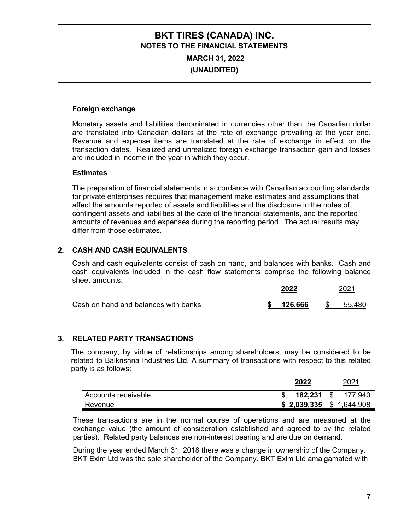# **BKT TIRES (CANADA) INC. NOTES TO THE FINANCIAL STATEMENTS MARCH 31, 2022 (UNAUDITED)**

## **Foreign exchange**

Monetary assets and liabilities denominated in currencies other than the Canadian dollar are translated into Canadian dollars at the rate of exchange prevailing at the year end. Revenue and expense items are translated at the rate of exchange in effect on the transaction dates. Realized and unrealized foreign exchange transaction gain and losses are included in income in the year in which they occur.

#### **Estimates**

The preparation of financial statements in accordance with Canadian accounting standards for private enterprises requires that management make estimates and assumptions that affect the amounts reported of assets and liabilities and the disclosure in the notes of contingent assets and liabilities at the date of the financial statements, and the reported amounts of revenues and expenses during the reporting period. The actual results may differ from those estimates.

## **2. CASH AND CASH EQUIVALENTS**

Cash and cash equivalents consist of cash on hand, and balances with banks. Cash and cash equivalents included in the cash flow statements comprise the following balance sheet amounts:

|                                      |  |            | 2021 |        |  |
|--------------------------------------|--|------------|------|--------|--|
| Cash on hand and balances with banks |  | \$ 126,666 | -SS  | 55,480 |  |

## **3. RELATED PARTY TRANSACTIONS**

The company, by virtue of relationships among shareholders, may be considered to be related to Balkrishna Industries Ltd. A summary of transactions with respect to this related party is as follows:

|                     | 2022 |                           |  | 2021               |
|---------------------|------|---------------------------|--|--------------------|
| Accounts receivable |      |                           |  | 182,231 \$ 177,940 |
| Revenue             |      | $$2,039,335$ $$1,644,908$ |  |                    |

These transactions are in the normal course of operations and are measured at the exchange value (the amount of consideration established and agreed to by the related parties). Related party balances are non-interest bearing and are due on demand.

During the year ended March 31, 2018 there was a change in ownership of the Company. BKT Exim Ltd was the sole shareholder of the Company. BKT Exim Ltd amalgamated with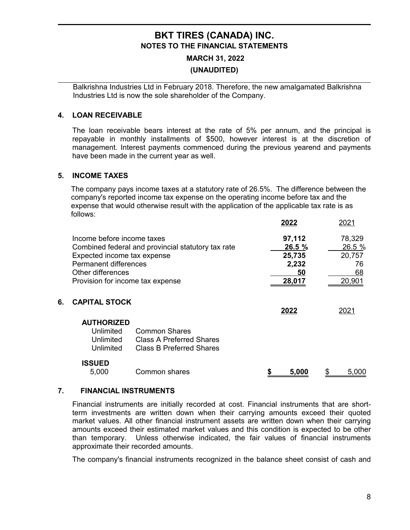## **BKT TIRES (CANADA) INC. NOTES TO THE FINANCIAL STATEMENTS**

## **MARCH 31, 2022 (UNAUDITED)**

Balkrishna Industries Ltd in February 2018. Therefore, the new amalgamated Balkrishna Industries Ltd is now the sole shareholder of the Company.

## **4. LOAN RECEIVABLE**

The loan receivable bears interest at the rate of 5% per annum, and the principal is repayable in monthly installments of \$500, however interest is at the discretion of management. Interest payments commenced during the previous yearend and payments have been made in the current year as well.

### **5. INCOME TAXES**

The company pays income taxes at a statutory rate of 26.5%. The difference between the company's reported income tax expense on the operating income before tax and the expense that would otherwise result with the application of the applicable tax rate is as follows:

|    |                                  |                                                    | 2022 |        | 2021   |
|----|----------------------------------|----------------------------------------------------|------|--------|--------|
|    | Income before income taxes       |                                                    |      | 97,112 | 78,329 |
|    |                                  | Combined federal and provincial statutory tax rate |      | 26.5 % | 26.5 % |
|    | Expected income tax expense      |                                                    |      | 25,735 | 20,757 |
|    | <b>Permanent differences</b>     |                                                    |      | 2,232  | 76     |
|    | Other differences                |                                                    |      | 50     | 68     |
|    | Provision for income tax expense |                                                    |      | 28,017 | 20,901 |
| 6. | <b>CAPITAL STOCK</b>             |                                                    | 2022 |        | 2021   |
|    | <b>AUTHORIZED</b>                |                                                    |      |        |        |
|    | Unlimited                        | Common Shares                                      |      |        |        |
|    | Unlimited                        | <b>Class A Preferred Shares</b>                    |      |        |        |
|    | Unlimited                        | <b>Class B Preferred Shares</b>                    |      |        |        |
|    | ISSUED                           |                                                    |      |        |        |
|    | 5,000                            | <b>Common shares</b>                               |      | 5,000  | 5,000  |

#### **7. FINANCIAL INSTRUMENTS**

Financial instruments are initially recorded at cost. Financial instruments that are shortterm investments are written down when their carrying amounts exceed their quoted market values. All other financial instrument assets are written down when their carrying amounts exceed their estimated market values and this condition is expected to be other than temporary. Unless otherwise indicated, the fair values of financial instruments approximate their recorded amounts.

The company's financial instruments recognized in the balance sheet consist of cash and